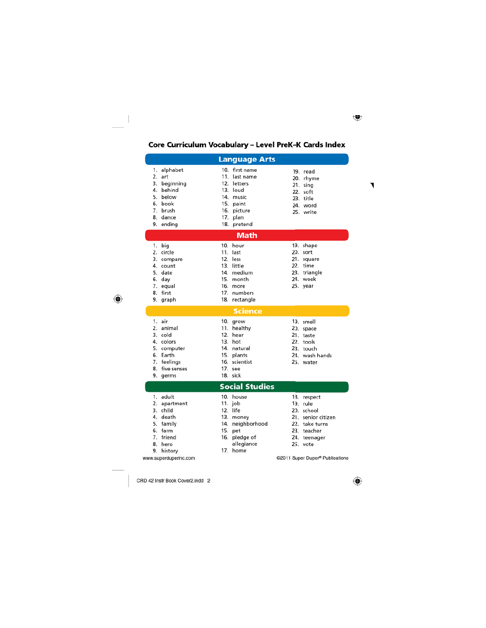## Core Curriculum Vocabulary - Level PreK-K Cards Index

| <b>Language Arts</b>                                                                                                |                                                                                                                                         |                                                                                                                          |
|---------------------------------------------------------------------------------------------------------------------|-----------------------------------------------------------------------------------------------------------------------------------------|--------------------------------------------------------------------------------------------------------------------------|
| 1. alphabet<br>2. art<br>3. beginning<br>4. behind<br>5. below<br>6. book<br>7. brush<br>8. dance<br>9. ending      | 10. first name<br>11. last name<br>12. letters<br>13. loud<br>14. music<br>15. paint<br>16. picture<br>17. plan<br>18. pretend          | 19. read<br>20. rhyme<br>21. sing<br>22. soft<br>23. title<br>24. word<br>25, write                                      |
| <b>Math</b>                                                                                                         |                                                                                                                                         |                                                                                                                          |
| 1. big<br>2. circle<br>3. compare<br>4. count<br>5. date<br>6. day<br>7. equal<br>8. first<br>9. graph              | 10. hour<br>11. last<br>12. less<br>13. little<br>14. medium<br>15. month<br>16. more<br>17. numbers<br>18. rectangle<br><b>Science</b> | 19. shape<br>20. sort<br>21. square<br>22. time<br>23. triangle<br>24. week<br>25. year                                  |
| 1. air<br>2. animal<br>3. cold<br>4. colors<br>5. computer<br>6. Earth<br>7. feelings<br>8. five senses<br>9. germs | 10. grow<br>11. healthy<br>12. hear<br>13. hot<br>14. natural<br>15. plants<br>16. scientist<br>17. see<br>18. sick                     | 19. smell<br>20. space<br>21. taste<br>22. tools<br>23. touch<br>24. wash hands<br>25. water                             |
| <b>Social Studies</b>                                                                                               |                                                                                                                                         |                                                                                                                          |
| 1. adult<br>2. apartment<br>3. child<br>4. death<br>5. family<br>6. farm<br>7. friend<br>8. hero<br>9.<br>history   | 10. house<br>11. $job$<br>12. life<br>13. money<br>14. neighborhood<br>15. pet<br>16. pledge of<br>allegiance<br>17. home               | 18. respect<br>19. rule<br>20. school<br>21. senior citizen<br>22. take turns<br>23. teacher<br>24. teenager<br>25. vote |
| www.superduperinc.com                                                                                               |                                                                                                                                         | @2011 Super Duper® Publications                                                                                          |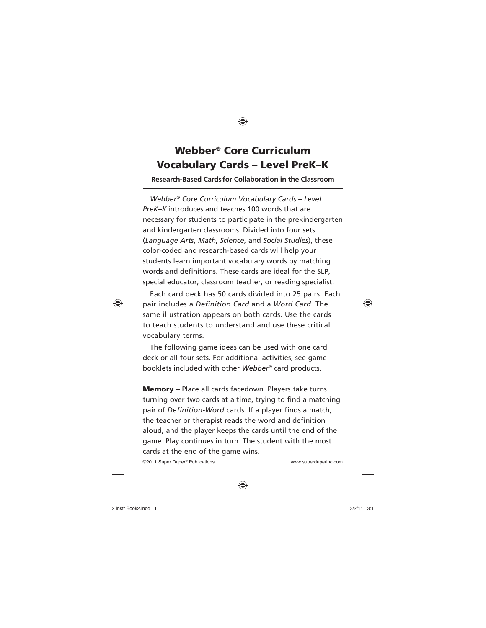## **Webber® Core Curriculum Vocabulary Cards – Level PreK–K**

**Research-Based Cards for Collaboration in the Classroom**

*Webber® Core Curriculum Vocabulary Cards – Level PreK–K* introduces and teaches 100 words that are necessary for students to participate in the prekindergarten and kindergarten classrooms. Divided into four sets (*Language Arts*, *Math*, *Science*, and *Social Studies*), these color-coded and research-based cards will help your students learn important vocabulary words by matching words and definitions. These cards are ideal for the SLP, special educator, classroom teacher, or reading specialist.

Each card deck has 50 cards divided into 25 pairs. Each pair includes a *Definition Card* and a *Word Card*. The same illustration appears on both cards. Use the cards to teach students to understand and use these critical vocabulary terms.

The following game ideas can be used with one card deck or all four sets. For additional activities, see game booklets included with other *Webber®* card products.

**Memory** – Place all cards facedown. Players take turns turning over two cards at a time, trying to find a matching pair of *Definition-Word* cards. If a player finds a match, the teacher or therapist reads the word and definition aloud, and the player keeps the cards until the end of the game. Play continues in turn. The student with the most cards at the end of the game wins.

©2011 Super Duper® Publications www.superduperinc.com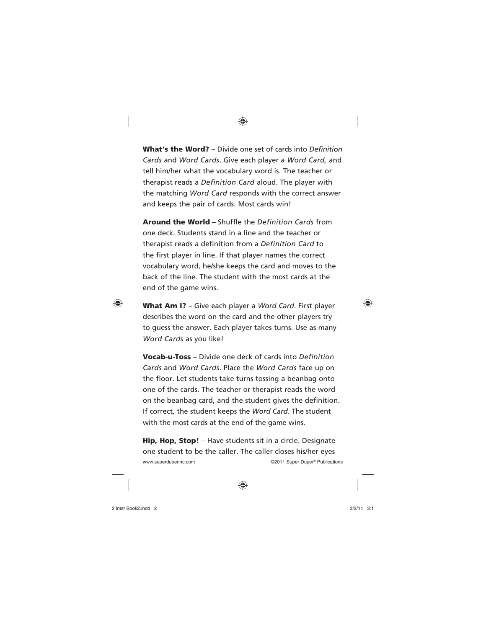**What's the Word?** – Divide one set of cards into *Definition Cards* and *Word Cards*. Give each player a *Word Card,* and tell him/her what the vocabulary word is. The teacher or therapist reads a *Definition Card* aloud. The player with the matching *Word Card* responds with the correct answer and keeps the pair of cards. Most cards win!

**Around the World** – Shuffle the *Definition Cards* from one deck. Students stand in a line and the teacher or therapist reads a definition from a *Definition Card* to the first player in line. If that player names the correct vocabulary word, he/she keeps the card and moves to the back of the line. The student with the most cards at the end of the game wins.

**What Am I?** – Give each player a *Word Card*. First player describes the word on the card and the other players try to guess the answer. Each player takes turns. Use as many *Word Cards* as you like!

**Vocab-u-Toss** – Divide one deck of cards into *Definition Cards* and *Word Cards*. Place the *Word Cards* face up on the floor. Let students take turns tossing a beanbag onto one of the cards. The teacher or therapist reads the word on the beanbag card, and the student gives the definition. If correct, the student keeps the *Word Card*. The student with the most cards at the end of the game wins.

**Hip, Hop, Stop!** – Have students sit in a circle. Designate one student to be the caller. The caller closes his/her eyes